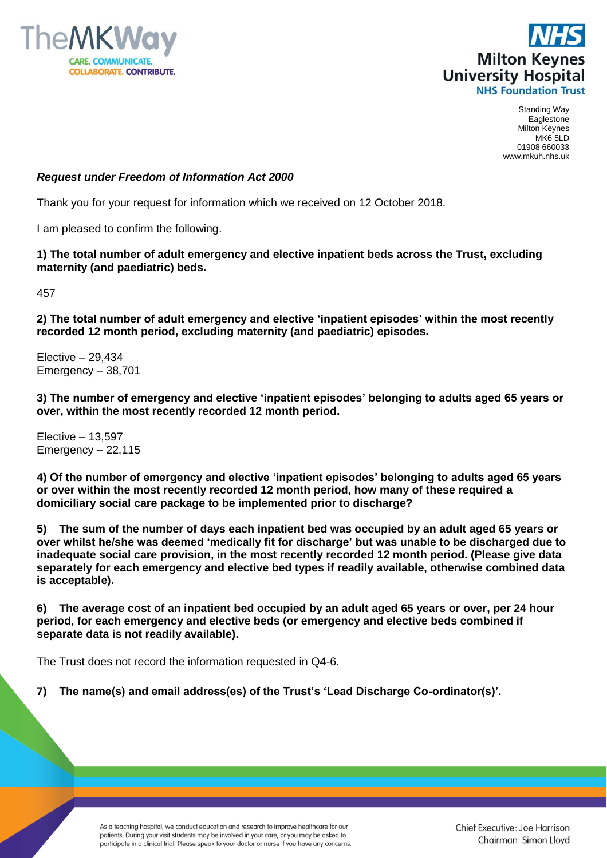



Standing Way Eaglestone Milton Keynes MK6 5LD 01908 660033 www.mkuh.nhs.uk

## *Request under Freedom of Information Act 2000*

Thank you for your request for information which we received on 12 October 2018.

I am pleased to confirm the following.

**1) The total number of adult emergency and elective inpatient beds across the Trust, excluding maternity (and paediatric) beds.**

457

**2) The total number of adult emergency and elective 'inpatient episodes' within the most recently recorded 12 month period, excluding maternity (and paediatric) episodes.**

Elective – 29,434 Emergency – 38,701

**3) The number of emergency and elective 'inpatient episodes' belonging to adults aged 65 years or over, within the most recently recorded 12 month period.**

Elective – 13,597 Emergency – 22,115

**4) Of the number of emergency and elective 'inpatient episodes' belonging to adults aged 65 years or over within the most recently recorded 12 month period, how many of these required a domiciliary social care package to be implemented prior to discharge?**

**5) The sum of the number of days each inpatient bed was occupied by an adult aged 65 years or over whilst he/she was deemed 'medically fit for discharge' but was unable to be discharged due to inadequate social care provision, in the most recently recorded 12 month period. (Please give data separately for each emergency and elective bed types if readily available, otherwise combined data is acceptable).**

**6) The average cost of an inpatient bed occupied by an adult aged 65 years or over, per 24 hour period, for each emergency and elective beds (or emergency and elective beds combined if separate data is not readily available).**

The Trust does not record the information requested in Q4-6.

**7) The name(s) and email address(es) of the Trust's 'Lead Discharge Co-ordinator(s)'.**

As a teaching hospital, we conduct education and research to improve healthcare for our patients. During your visit students may be involved in your care, or you may be asked to participate in a clinical trial. Please speak to your doctor or nurse if you have any concerns. Chief Executive: Joe Harrison Chairman: Simon Lloyd